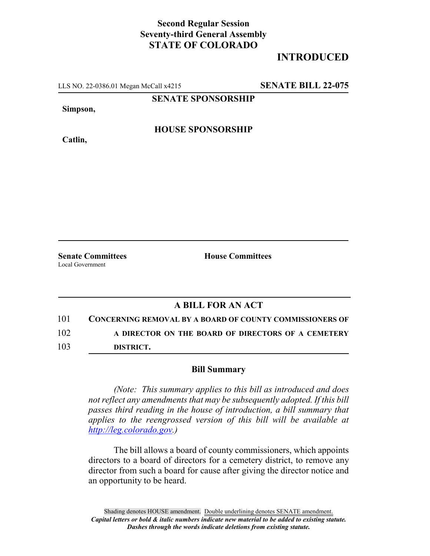## **Second Regular Session Seventy-third General Assembly STATE OF COLORADO**

## **INTRODUCED**

LLS NO. 22-0386.01 Megan McCall x4215 **SENATE BILL 22-075**

**SENATE SPONSORSHIP**

**Simpson,**

**Catlin,**

**HOUSE SPONSORSHIP**

**Senate Committees House Committees** Local Government

## **A BILL FOR AN ACT**

101 **CONCERNING REMOVAL BY A BOARD OF COUNTY COMMISSIONERS OF** 102 **A DIRECTOR ON THE BOARD OF DIRECTORS OF A CEMETERY**

103 **DISTRICT.**

## **Bill Summary**

*(Note: This summary applies to this bill as introduced and does not reflect any amendments that may be subsequently adopted. If this bill passes third reading in the house of introduction, a bill summary that applies to the reengrossed version of this bill will be available at http://leg.colorado.gov.)*

The bill allows a board of county commissioners, which appoints directors to a board of directors for a cemetery district, to remove any director from such a board for cause after giving the director notice and an opportunity to be heard.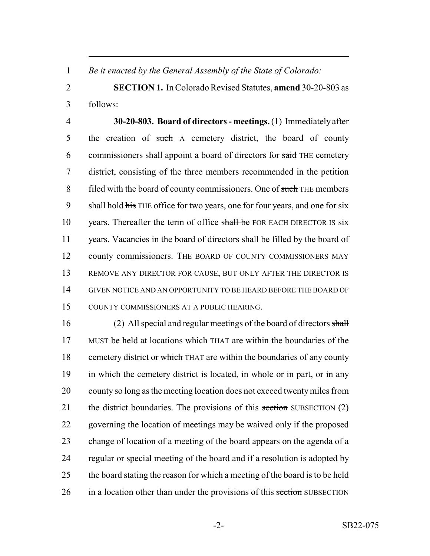1 *Be it enacted by the General Assembly of the State of Colorado:*

2 **SECTION 1.** In Colorado Revised Statutes, **amend** 30-20-803 as 3 follows:

4 **30-20-803. Board of directors - meetings.** (1) Immediately after 5 the creation of such A cemetery district, the board of county 6 commissioners shall appoint a board of directors for said THE cemetery 7 district, consisting of the three members recommended in the petition 8 filed with the board of county commissioners. One of such THE members 9 shall hold his THE office for two years, one for four years, and one for six 10 years. Thereafter the term of office shall be FOR EACH DIRECTOR IS six 11 years. Vacancies in the board of directors shall be filled by the board of 12 county commissioners. THE BOARD OF COUNTY COMMISSIONERS MAY 13 REMOVE ANY DIRECTOR FOR CAUSE, BUT ONLY AFTER THE DIRECTOR IS 14 GIVEN NOTICE AND AN OPPORTUNITY TO BE HEARD BEFORE THE BOARD OF 15 COUNTY COMMISSIONERS AT A PUBLIC HEARING.

16 (2) All special and regular meetings of the board of directors shall 17 MUST be held at locations which THAT are within the boundaries of the 18 cemetery district or which THAT are within the boundaries of any county 19 in which the cemetery district is located, in whole or in part, or in any 20 county so long as the meeting location does not exceed twenty miles from 21 the district boundaries. The provisions of this section SUBSECTION (2) 22 governing the location of meetings may be waived only if the proposed 23 change of location of a meeting of the board appears on the agenda of a 24 regular or special meeting of the board and if a resolution is adopted by 25 the board stating the reason for which a meeting of the board is to be held 26 in a location other than under the provisions of this section SUBSECTION